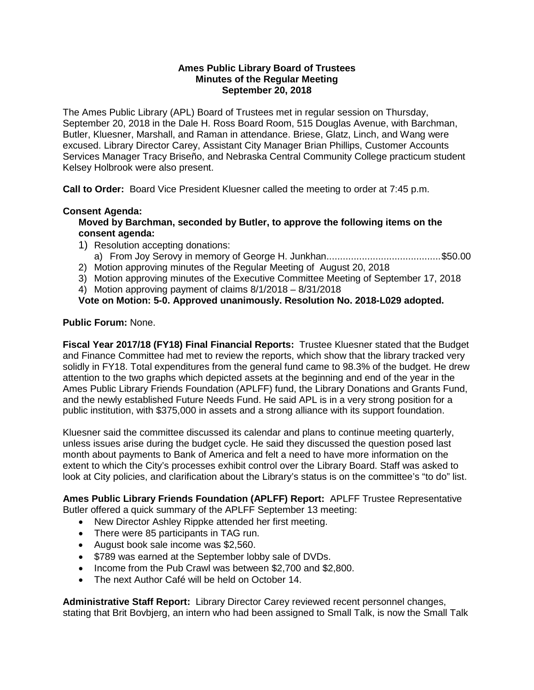### **Ames Public Library Board of Trustees Minutes of the Regular Meeting September 20, 2018**

The Ames Public Library (APL) Board of Trustees met in regular session on Thursday, September 20, 2018 in the Dale H. Ross Board Room, 515 Douglas Avenue, with Barchman, Butler, Kluesner, Marshall, and Raman in attendance. Briese, Glatz, Linch, and Wang were excused. Library Director Carey, Assistant City Manager Brian Phillips, Customer Accounts Services Manager Tracy Briseño, and Nebraska Central Community College practicum student Kelsey Holbrook were also present.

**Call to Order:** Board Vice President Kluesner called the meeting to order at 7:45 p.m.

## **Consent Agenda:**

### **Moved by Barchman, seconded by Butler, to approve the following items on the consent agenda:**

- 1) Resolution accepting donations: a) From Joy Serovy in memory of George H. Junkhan..........................................\$50.00
- 2) Motion approving minutes of the Regular Meeting of August 20, 2018
- 3) Motion approving minutes of the Executive Committee Meeting of September 17, 2018
- 4) Motion approving payment of claims 8/1/2018 8/31/2018

## **Vote on Motion: 5-0. Approved unanimously. Resolution No. 2018-L029 adopted.**

### **Public Forum:** None.

**Fiscal Year 2017/18 (FY18) Final Financial Reports:** Trustee Kluesner stated that the Budget and Finance Committee had met to review the reports, which show that the library tracked very solidly in FY18. Total expenditures from the general fund came to 98.3% of the budget. He drew attention to the two graphs which depicted assets at the beginning and end of the year in the Ames Public Library Friends Foundation (APLFF) fund, the Library Donations and Grants Fund, and the newly established Future Needs Fund. He said APL is in a very strong position for a public institution, with \$375,000 in assets and a strong alliance with its support foundation.

Kluesner said the committee discussed its calendar and plans to continue meeting quarterly, unless issues arise during the budget cycle. He said they discussed the question posed last month about payments to Bank of America and felt a need to have more information on the extent to which the City's processes exhibit control over the Library Board. Staff was asked to look at City policies, and clarification about the Library's status is on the committee's "to do" list.

**Ames Public Library Friends Foundation (APLFF) Report:** APLFF Trustee Representative Butler offered a quick summary of the APLFF September 13 meeting:

- New Director Ashley Rippke attended her first meeting.
- There were 85 participants in TAG run.
- August book sale income was \$2,560.
- \$789 was earned at the September lobby sale of DVDs.
- Income from the Pub Crawl was between \$2,700 and \$2,800.
- The next Author Café will be held on October 14.

**Administrative Staff Report:** Library Director Carey reviewed recent personnel changes, stating that Brit Bovbjerg, an intern who had been assigned to Small Talk, is now the Small Talk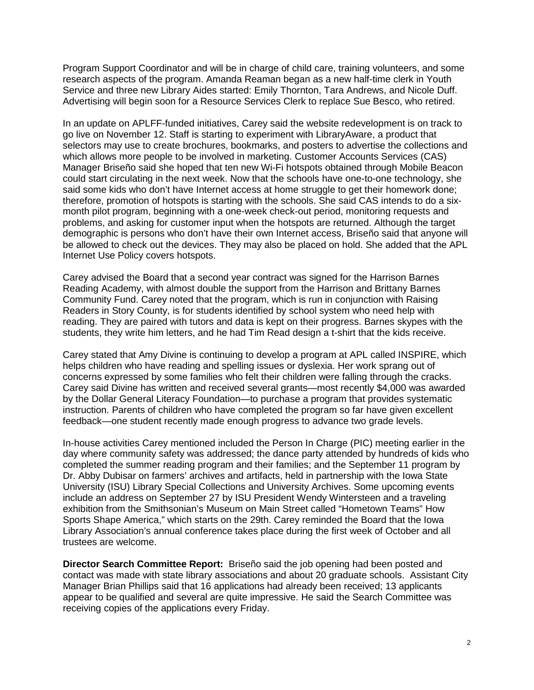Program Support Coordinator and will be in charge of child care, training volunteers, and some research aspects of the program. Amanda Reaman began as a new half-time clerk in Youth Service and three new Library Aides started: Emily Thornton, Tara Andrews, and Nicole Duff. Advertising will begin soon for a Resource Services Clerk to replace Sue Besco, who retired.

In an update on APLFF-funded initiatives, Carey said the website redevelopment is on track to go live on November 12. Staff is starting to experiment with LibraryAware, a product that selectors may use to create brochures, bookmarks, and posters to advertise the collections and which allows more people to be involved in marketing. Customer Accounts Services (CAS) Manager Briseño said she hoped that ten new Wi-Fi hotspots obtained through Mobile Beacon could start circulating in the next week. Now that the schools have one-to-one technology, she said some kids who don't have Internet access at home struggle to get their homework done; therefore, promotion of hotspots is starting with the schools. She said CAS intends to do a sixmonth pilot program, beginning with a one-week check-out period, monitoring requests and problems, and asking for customer input when the hotspots are returned. Although the target demographic is persons who don't have their own Internet access, Briseño said that anyone will be allowed to check out the devices. They may also be placed on hold. She added that the APL Internet Use Policy covers hotspots.

Carey advised the Board that a second year contract was signed for the Harrison Barnes Reading Academy, with almost double the support from the Harrison and Brittany Barnes Community Fund. Carey noted that the program, which is run in conjunction with Raising Readers in Story County, is for students identified by school system who need help with reading. They are paired with tutors and data is kept on their progress. Barnes skypes with the students, they write him letters, and he had Tim Read design a t-shirt that the kids receive.

Carey stated that Amy Divine is continuing to develop a program at APL called INSPIRE, which helps children who have reading and spelling issues or dyslexia. Her work sprang out of concerns expressed by some families who felt their children were falling through the cracks. Carey said Divine has written and received several grants—most recently \$4,000 was awarded by the Dollar General Literacy Foundation—to purchase a program that provides systematic instruction. Parents of children who have completed the program so far have given excellent feedback—one student recently made enough progress to advance two grade levels.

In-house activities Carey mentioned included the Person In Charge (PIC) meeting earlier in the day where community safety was addressed; the dance party attended by hundreds of kids who completed the summer reading program and their families; and the September 11 program by Dr. Abby Dubisar on farmers' archives and artifacts, held in partnership with the Iowa State University (ISU) Library Special Collections and University Archives. Some upcoming events include an address on September 27 by ISU President Wendy Wintersteen and a traveling exhibition from the Smithsonian's Museum on Main Street called "Hometown Teams" How Sports Shape America," which starts on the 29th. Carey reminded the Board that the Iowa Library Association's annual conference takes place during the first week of October and all trustees are welcome.

**Director Search Committee Report:** Briseño said the job opening had been posted and contact was made with state library associations and about 20 graduate schools. Assistant City Manager Brian Phillips said that 16 applications had already been received; 13 applicants appear to be qualified and several are quite impressive. He said the Search Committee was receiving copies of the applications every Friday.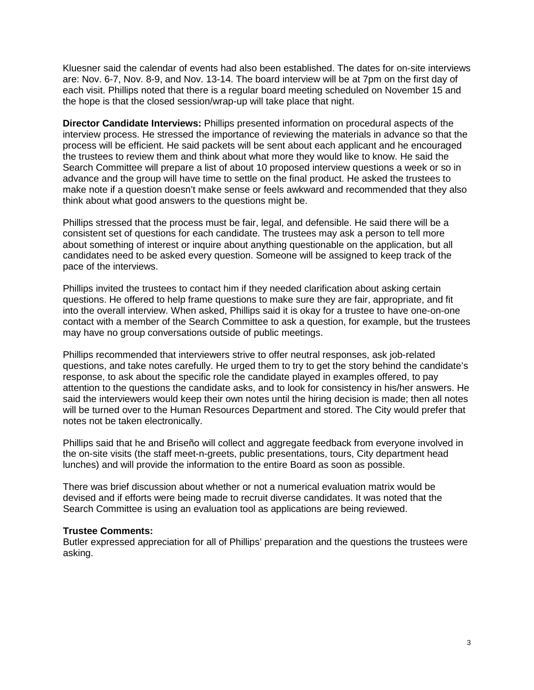Kluesner said the calendar of events had also been established. The dates for on-site interviews are: Nov. 6-7, Nov. 8-9, and Nov. 13-14. The board interview will be at 7pm on the first day of each visit. Phillips noted that there is a regular board meeting scheduled on November 15 and the hope is that the closed session/wrap-up will take place that night.

**Director Candidate Interviews:** Phillips presented information on procedural aspects of the interview process. He stressed the importance of reviewing the materials in advance so that the process will be efficient. He said packets will be sent about each applicant and he encouraged the trustees to review them and think about what more they would like to know. He said the Search Committee will prepare a list of about 10 proposed interview questions a week or so in advance and the group will have time to settle on the final product. He asked the trustees to make note if a question doesn't make sense or feels awkward and recommended that they also think about what good answers to the questions might be.

Phillips stressed that the process must be fair, legal, and defensible. He said there will be a consistent set of questions for each candidate. The trustees may ask a person to tell more about something of interest or inquire about anything questionable on the application, but all candidates need to be asked every question. Someone will be assigned to keep track of the pace of the interviews.

Phillips invited the trustees to contact him if they needed clarification about asking certain questions. He offered to help frame questions to make sure they are fair, appropriate, and fit into the overall interview. When asked, Phillips said it is okay for a trustee to have one-on-one contact with a member of the Search Committee to ask a question, for example, but the trustees may have no group conversations outside of public meetings.

Phillips recommended that interviewers strive to offer neutral responses, ask job-related questions, and take notes carefully. He urged them to try to get the story behind the candidate's response, to ask about the specific role the candidate played in examples offered, to pay attention to the questions the candidate asks, and to look for consistency in his/her answers. He said the interviewers would keep their own notes until the hiring decision is made; then all notes will be turned over to the Human Resources Department and stored. The City would prefer that notes not be taken electronically.

Phillips said that he and Briseño will collect and aggregate feedback from everyone involved in the on-site visits (the staff meet-n-greets, public presentations, tours, City department head lunches) and will provide the information to the entire Board as soon as possible.

There was brief discussion about whether or not a numerical evaluation matrix would be devised and if efforts were being made to recruit diverse candidates. It was noted that the Search Committee is using an evaluation tool as applications are being reviewed.

#### **Trustee Comments:**

Butler expressed appreciation for all of Phillips' preparation and the questions the trustees were asking.